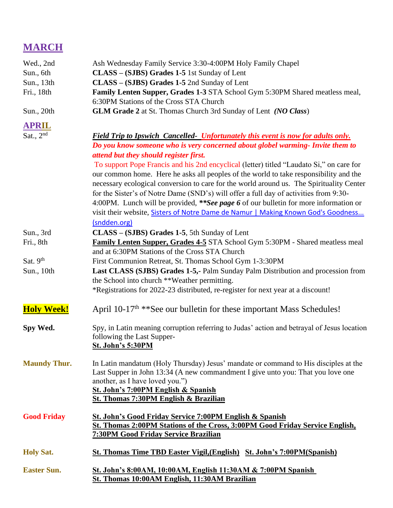## **MARCH**

| Wed., 2nd           | Ash Wednesday Family Service 3:30-4:00PM Holy Family Chapel                                                              |  |  |
|---------------------|--------------------------------------------------------------------------------------------------------------------------|--|--|
| Sun., 6th           | CLASS – (SJBS) Grades 1-5 1st Sunday of Lent                                                                             |  |  |
| Sun., 13th          | CLASS – (SJBS) Grades 1-5 2nd Sunday of Lent                                                                             |  |  |
| Fri., 18th          | Family Lenten Supper, Grades 1-3 STA School Gym 5:30PM Shared meatless meal,                                             |  |  |
|                     | 6:30PM Stations of the Cross STA Church                                                                                  |  |  |
| Sun., 20th          | <b>GLM Grade 2</b> at St. Thomas Church 3rd Sunday of Lent (NO Class)                                                    |  |  |
| <b>APRIL</b>        |                                                                                                                          |  |  |
| Sat., $2nd$         | <b>Field Trip to Ipswich Cancelled- Unfortunately this event is now for adults only.</b>                                 |  |  |
|                     | Do you know someone who is very concerned about globel warming- Invite them to                                           |  |  |
|                     | attend but they should register first.                                                                                   |  |  |
|                     | To support Pope Francis and his 2nd encyclical (letter) titled "Laudato Si," on care for                                 |  |  |
|                     | our common home. Here he asks all peoples of the world to take responsibility and the                                    |  |  |
|                     | necessary ecological conversion to care for the world around us. The Spirituality Center                                 |  |  |
|                     | for the Sister's of Notre Dame (SND's) will offer a full day of activities from 9:30-                                    |  |  |
|                     | 4:00PM. Lunch will be provided, **See page 6 of our bulletin for more information or                                     |  |  |
|                     | visit their website, Sisters of Notre Dame de Namur   Making Known God's Goodness                                        |  |  |
|                     | (sndden.org)                                                                                                             |  |  |
| Sun., 3rd           | CLASS – (SJBS) Grades 1-5, 5th Sunday of Lent                                                                            |  |  |
| Fri., 8th           | <b>Family Lenten Supper, Grades 4-5 STA School Gym 5:30PM - Shared meatless meal</b>                                     |  |  |
|                     | and at 6:30PM Stations of the Cross STA Church                                                                           |  |  |
| Sat. 9th            | First Communion Retreat, St. Thomas School Gym 1-3:30PM                                                                  |  |  |
| Sun., 10th          | Last CLASS (SJBS) Grades 1-5,- Palm Sunday Palm Distribution and procession from                                         |  |  |
|                     | the School into church **Weather permitting.                                                                             |  |  |
|                     | *Registrations for 2022-23 distributed, re-register for next year at a discount!                                         |  |  |
| <b>Holy Week!</b>   | April 10-17 <sup>th</sup> **See our bulletin for these important Mass Schedules!                                         |  |  |
| Spy Wed.            | Spy, in Latin meaning corruption referring to Judas' action and betrayal of Jesus location                               |  |  |
|                     | following the Last Supper-                                                                                               |  |  |
|                     | <b>St. John's 5:30PM</b>                                                                                                 |  |  |
| <b>Maundy Thur.</b> | In Latin mandatum (Holy Thursday) Jesus' mandate or command to His disciples at the                                      |  |  |
|                     | Last Supper in John 13:34 (A new commandment I give unto you: That you love one                                          |  |  |
|                     | another, as I have loved you.")                                                                                          |  |  |
|                     | St. John's 7:00PM English & Spanish                                                                                      |  |  |
|                     | St. Thomas 7:30PM English & Brazilian                                                                                    |  |  |
| <b>Good Friday</b>  | St. John's Good Friday Service 7:00PM English & Spanish                                                                  |  |  |
|                     | St. Thomas 2:00PM Stations of the Cross, 3:00PM Good Friday Service English,                                             |  |  |
|                     | <b>7:30PM Good Friday Service Brazilian</b>                                                                              |  |  |
| <b>Holy Sat.</b>    | <b>St. Thomas Time TBD Easter Vigil, (English) St. John's 7:00PM (Spanish)</b>                                           |  |  |
|                     |                                                                                                                          |  |  |
| <b>Easter Sun.</b>  | <u>St. John's 8:00AM, 10:00AM, English 11:30AM &amp; 7:00PM Spanish</u><br>St. Thomas 10:00AM English, 11:30AM Brazilian |  |  |
|                     |                                                                                                                          |  |  |